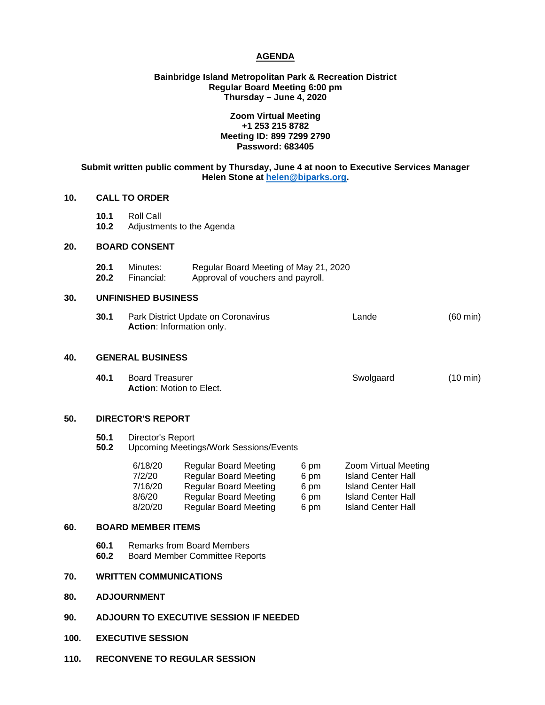## **AGENDA**

# **Bainbridge Island Metropolitan Park & Recreation District Regular Board Meeting 6:00 pm Thursday – June 4, 2020**

## **Zoom Virtual Meeting +1 253 215 8782 Meeting ID: 899 7299 2790 Password: 683405**

## **Submit written public comment by Thursday, June 4 at noon to Executive Services Manager Helen Stone at [helen@biparks.org.](mailto:helen@biparks.org)**

# **10. CALL TO ORDER**

|     | 10.1<br>10.2               | <b>Roll Call</b><br>Adjustments to the Agenda                                                        |                                                                                                                                                              |                                      |                                                                                                                                          |                    |  |
|-----|----------------------------|------------------------------------------------------------------------------------------------------|--------------------------------------------------------------------------------------------------------------------------------------------------------------|--------------------------------------|------------------------------------------------------------------------------------------------------------------------------------------|--------------------|--|
| 20. | <b>BOARD CONSENT</b>       |                                                                                                      |                                                                                                                                                              |                                      |                                                                                                                                          |                    |  |
|     | 20.1<br>20.2               | Minutes:<br>Regular Board Meeting of May 21, 2020<br>Financial:<br>Approval of vouchers and payroll. |                                                                                                                                                              |                                      |                                                                                                                                          |                    |  |
| 30. | <b>UNFINISHED BUSINESS</b> |                                                                                                      |                                                                                                                                                              |                                      |                                                                                                                                          |                    |  |
|     | 30.1                       | Park District Update on Coronavirus<br>Action: Information only.                                     |                                                                                                                                                              |                                      | Lande                                                                                                                                    | $(60 \text{ min})$ |  |
| 40. | <b>GENERAL BUSINESS</b>    |                                                                                                      |                                                                                                                                                              |                                      |                                                                                                                                          |                    |  |
|     | 40.1                       | <b>Board Treasurer</b><br>Action: Motion to Elect.                                                   |                                                                                                                                                              |                                      | Swolgaard                                                                                                                                | $(10 \text{ min})$ |  |
| 50. | <b>DIRECTOR'S REPORT</b>   |                                                                                                      |                                                                                                                                                              |                                      |                                                                                                                                          |                    |  |
|     | 50.1<br>50.2               | Director's Report<br><b>Upcoming Meetings/Work Sessions/Events</b>                                   |                                                                                                                                                              |                                      |                                                                                                                                          |                    |  |
|     |                            | 6/18/20<br>7/2/20<br>7/16/20<br>8/6/20<br>8/20/20                                                    | <b>Regular Board Meeting</b><br><b>Regular Board Meeting</b><br><b>Regular Board Meeting</b><br><b>Regular Board Meeting</b><br><b>Regular Board Meeting</b> | 6 pm<br>6 pm<br>6 pm<br>6 pm<br>6 pm | Zoom Virtual Meeting<br><b>Island Center Hall</b><br><b>Island Center Hall</b><br><b>Island Center Hall</b><br><b>Island Center Hall</b> |                    |  |
| 60. | <b>BOARD MEMBER ITEMS</b>  |                                                                                                      |                                                                                                                                                              |                                      |                                                                                                                                          |                    |  |
|     | 60.1<br>60.2               | <b>Remarks from Board Members</b><br><b>Board Member Committee Reports</b>                           |                                                                                                                                                              |                                      |                                                                                                                                          |                    |  |
| 70. |                            | <b>WRITTEN COMMUNICATIONS</b>                                                                        |                                                                                                                                                              |                                      |                                                                                                                                          |                    |  |
| 80. | <b>ADJOURNMENT</b>         |                                                                                                      |                                                                                                                                                              |                                      |                                                                                                                                          |                    |  |

- **90. ADJOURN TO EXECUTIVE SESSION IF NEEDED**
- **100. EXECUTIVE SESSION**
- **110. RECONVENE TO REGULAR SESSION**